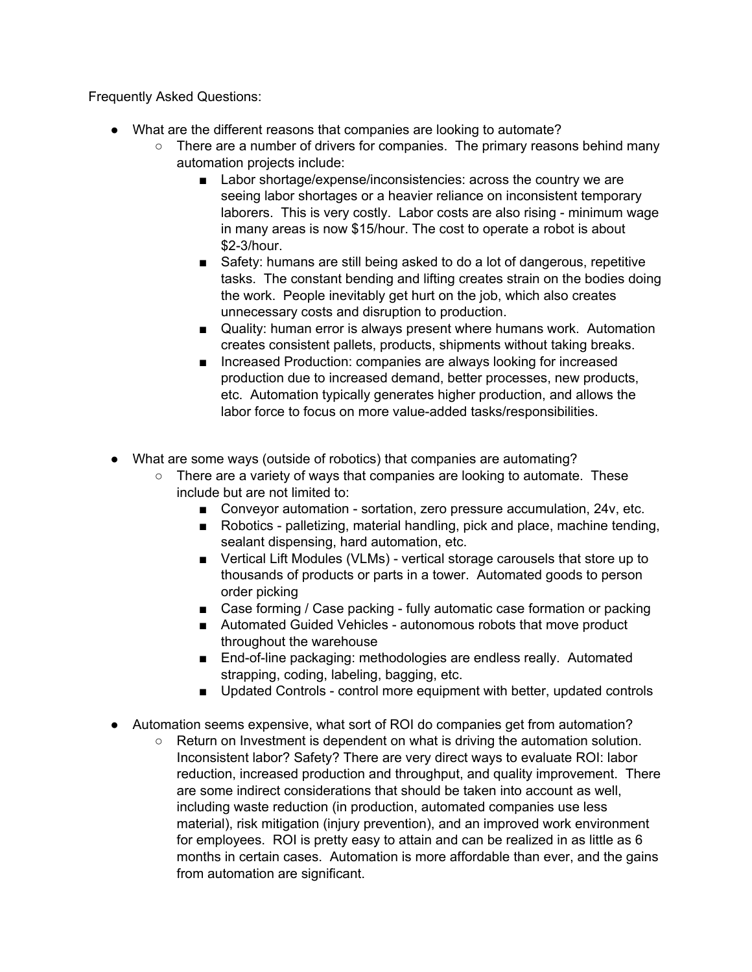Frequently Asked Questions:

- What are the different reasons that companies are looking to automate?
	- There are a number of drivers for companies. The primary reasons behind many automation projects include:
		- Labor shortage/expense/inconsistencies: across the country we are seeing labor shortages or a heavier reliance on inconsistent temporary laborers. This is very costly. Labor costs are also rising - minimum wage in many areas is now \$15/hour. The cost to operate a robot is about \$2-3/hour.
		- Safety: humans are still being asked to do a lot of dangerous, repetitive tasks. The constant bending and lifting creates strain on the bodies doing the work. People inevitably get hurt on the job, which also creates unnecessary costs and disruption to production.
		- Quality: human error is always present where humans work. Automation creates consistent pallets, products, shipments without taking breaks.
		- Increased Production: companies are always looking for increased production due to increased demand, better processes, new products, etc. Automation typically generates higher production, and allows the labor force to focus on more value-added tasks/responsibilities.
- What are some ways (outside of robotics) that companies are automating?
	- $\circ$  There are a variety of ways that companies are looking to automate. These include but are not limited to:
		- Conveyor automation sortation, zero pressure accumulation, 24v, etc.
		- Robotics palletizing, material handling, pick and place, machine tending, sealant dispensing, hard automation, etc.
		- Vertical Lift Modules (VLMs) vertical storage carousels that store up to thousands of products or parts in a tower. Automated goods to person order picking
		- Case forming / Case packing fully automatic case formation or packing
		- Automated Guided Vehicles autonomous robots that move product throughout the warehouse
		- End-of-line packaging: methodologies are endless really. Automated strapping, coding, labeling, bagging, etc.
		- Updated Controls control more equipment with better, updated controls
- Automation seems expensive, what sort of ROI do companies get from automation?
	- Return on Investment is dependent on what is driving the automation solution. Inconsistent labor? Safety? There are very direct ways to evaluate ROI: labor reduction, increased production and throughput, and quality improvement. There are some indirect considerations that should be taken into account as well, including waste reduction (in production, automated companies use less material), risk mitigation (injury prevention), and an improved work environment for employees. ROI is pretty easy to attain and can be realized in as little as 6 months in certain cases. Automation is more affordable than ever, and the gains from automation are significant.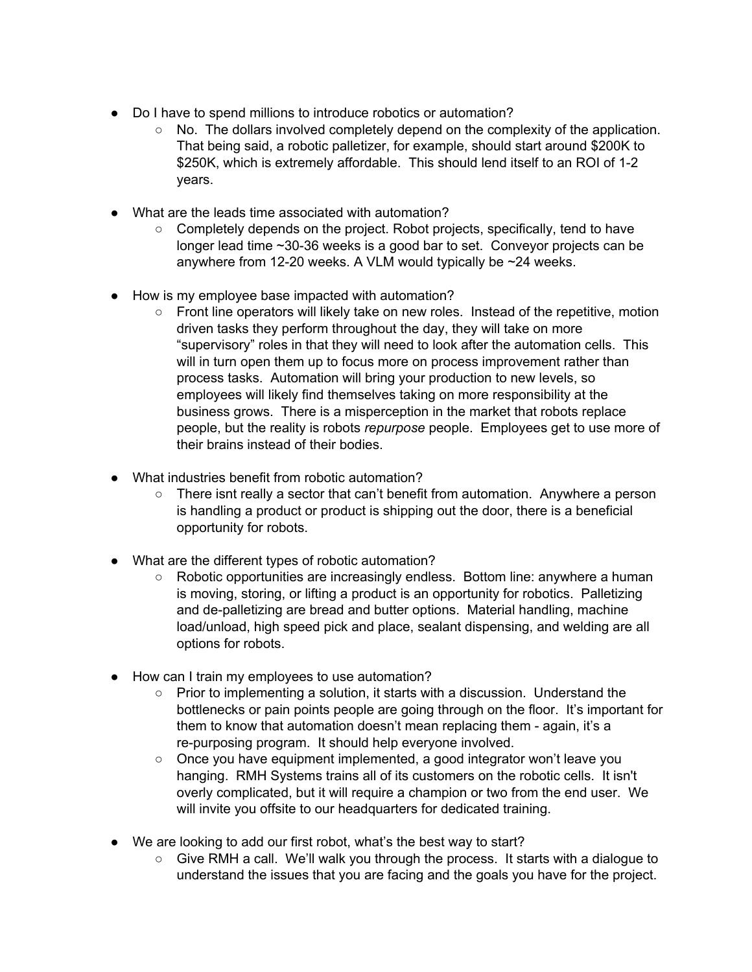- Do I have to spend millions to introduce robotics or automation?
	- $\circ$  No. The dollars involved completely depend on the complexity of the application. That being said, a robotic palletizer, for example, should start around \$200K to \$250K, which is extremely affordable. This should lend itself to an ROI of 1-2 years.
- What are the leads time associated with automation?
	- Completely depends on the project. Robot projects, specifically, tend to have longer lead time ~30-36 weeks is a good bar to set. Conveyor projects can be anywhere from 12-20 weeks. A VLM would typically be ~24 weeks.
- How is my employee base impacted with automation?
	- $\circ$  Front line operators will likely take on new roles. Instead of the repetitive, motion driven tasks they perform throughout the day, they will take on more "supervisory" roles in that they will need to look after the automation cells. This will in turn open them up to focus more on process improvement rather than process tasks. Automation will bring your production to new levels, so employees will likely find themselves taking on more responsibility at the business grows. There is a misperception in the market that robots replace people, but the reality is robots *repurpose* people. Employees get to use more of their brains instead of their bodies.
- What industries benefit from robotic automation?
	- $\circ$  There isnt really a sector that can't benefit from automation. Anywhere a person is handling a product or product is shipping out the door, there is a beneficial opportunity for robots.
- What are the different types of robotic automation?
	- Robotic opportunities are increasingly endless. Bottom line: anywhere a human is moving, storing, or lifting a product is an opportunity for robotics. Palletizing and de-palletizing are bread and butter options. Material handling, machine load/unload, high speed pick and place, sealant dispensing, and welding are all options for robots.
- How can I train my employees to use automation?
	- $\circ$  Prior to implementing a solution, it starts with a discussion. Understand the bottlenecks or pain points people are going through on the floor. It's important for them to know that automation doesn't mean replacing them - again, it's a re-purposing program. It should help everyone involved.
	- Once you have equipment implemented, a good integrator won't leave you hanging. RMH Systems trains all of its customers on the robotic cells. It isn't overly complicated, but it will require a champion or two from the end user. We will invite you offsite to our headquarters for dedicated training.
- We are looking to add our first robot, what's the best way to start?
	- $\circ$  Give RMH a call. We'll walk you through the process. It starts with a dialogue to understand the issues that you are facing and the goals you have for the project.